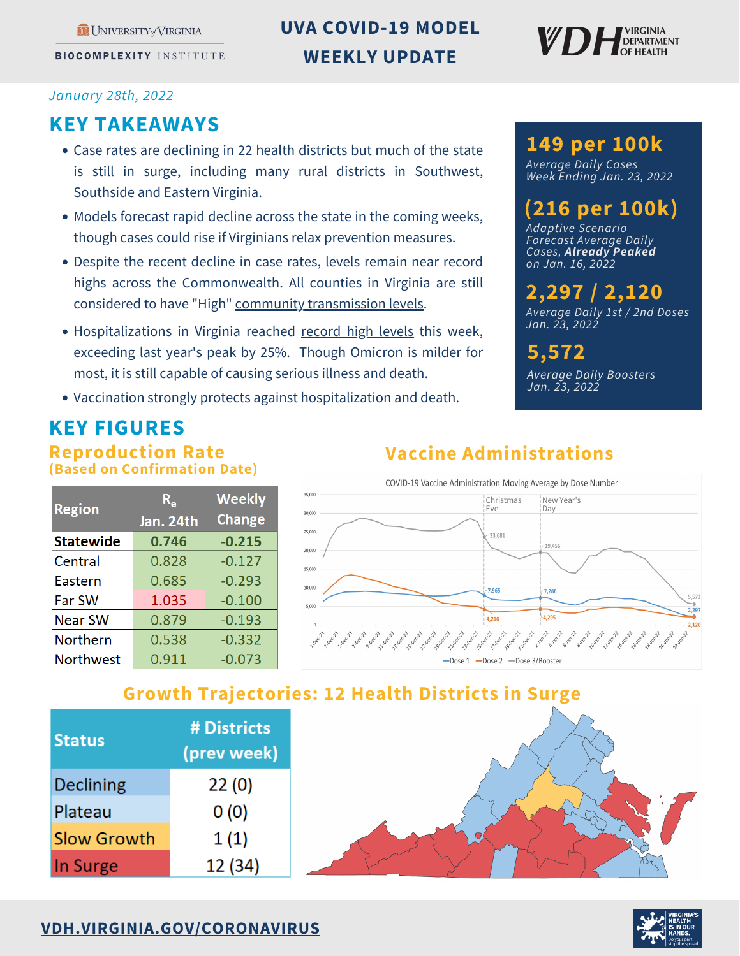UNIVERSITY of VIRGINIA

**BIOCOMPLEXITY INSTITUTE** 

## **UVA COVID-19 MODEL WEEKLY UPDATE**



#### *January 28th, 2022*

### **KEY TAKEAWAYS**

- Case rates are declining in 22 health districts but much of the state is still in surge, including many rural districts in Southwest, Southside and Eastern Virginia.
- Models forecast rapid decline across the state in the coming weeks, though cases could rise if Virginians relax prevention measures.
- Despite the recent decline in case rates, levels remain near record highs across the Commonwealth. All counties in Virginia are still considered to have "High" community [transmission](https://www.vdh.virginia.gov/coronavirus/see-the-numbers/covid-19-in-virginia/community-transmission/) levels.
- Hospitalizations in Virginia reached [record](https://www.vdh.virginia.gov/coronavirus/see-the-numbers/covid-19-in-virginia/vhha-hospitalizations/) high levels this week, exceeding last year's peak by 25%. Though Omicron is milder for most, it is still capable of causing serious illness and death.
- Vaccination strongly protects against hospitalization and death.

## **149 per 100k**

*Average Daily Cases Week Ending Jan. 23, 2022*

## **(216 per 100k)**

*Adaptive Scenario Forecast Average Daily Cases, Already Peaked on Jan. 16, 2022*

# **2,297 / 2,120**

*Average Daily 1st / 2nd Doses Jan. 23, 2022*

### **5,572**

*Average Daily Boosters Jan. 23, 2022*

## **KEY FIGURES**

#### **Reproduction Rate (Based on Confirmation Date)**

| <b>Region</b>    | $R_{\rm g}$<br>Jan. 24th | <b>Weekly</b><br><b>Change</b> |
|------------------|--------------------------|--------------------------------|
| <b>Statewide</b> | 0.746                    | $-0.215$                       |
| Central          | 0.828                    | $-0.127$                       |
| Eastern          | 0.685                    | $-0.293$                       |
| Far SW           | 1.035                    | $-0.100$                       |
| <b>Near SW</b>   | 0.879                    | $-0.193$                       |
| Northern         | 0.538                    | $-0.332$                       |
| <b>Northwest</b> | 0.911                    | $-0.073$                       |

# **Vaccine Administrations**



### **Growth Trajectories: 12 Health Districts in Surge**

| <b>Status</b>      | # Districts<br>(prev week) |
|--------------------|----------------------------|
| Declining          | 22(0)                      |
| Plateau            | 0(0)                       |
| <b>Slow Growth</b> | 1(1)                       |
| In Surge           | 12 (34)                    |